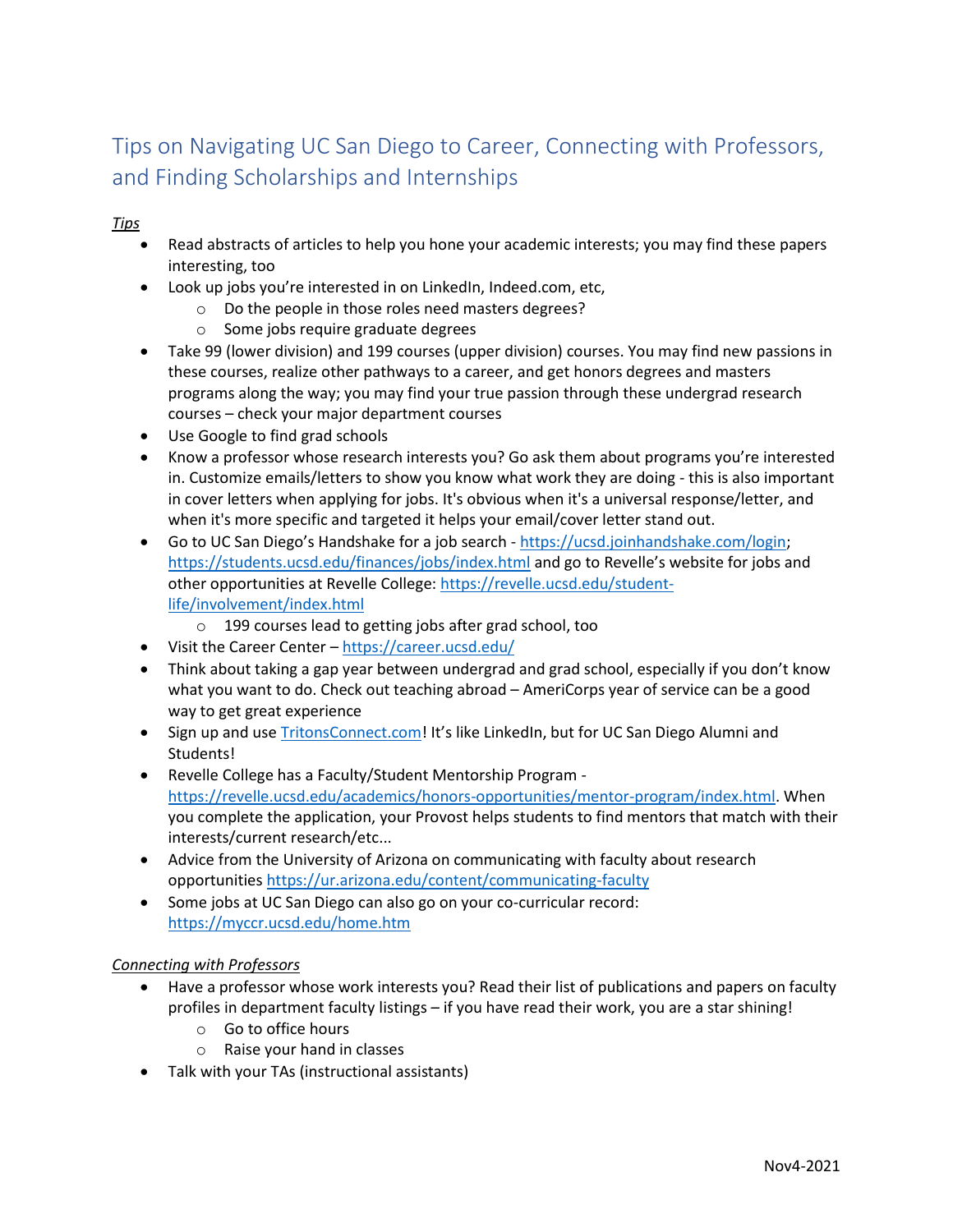## Tips on Navigating UC San Diego to Career, Connecting with Professors, and Finding Scholarships and Internships

*Tips*

- Read abstracts of articles to help you hone your academic interests; you may find these papers interesting, too
- Look up jobs you're interested in on LinkedIn, Indeed.com, etc,
	- o Do the people in those roles need masters degrees?
	- o Some jobs require graduate degrees
- Take 99 (lower division) and 199 courses (upper division) courses. You may find new passions in these courses, realize other pathways to a career, and get honors degrees and masters programs along the way; you may find your true passion through these undergrad research courses – check your major department courses
- Use Google to find grad schools
- Know a professor whose research interests you? Go ask them about programs you're interested in. Customize emails/letters to show you know what work they are doing - this is also important in cover letters when applying for jobs. It's obvious when it's a universal response/letter, and when it's more specific and targeted it helps your email/cover letter stand out.
- Go to UC San Diego's Handshake for a job search [https://ucsd.joinhandshake.com/login;](https://ucsd.joinhandshake.com/login) <https://students.ucsd.edu/finances/jobs/index.html> and go to Revelle's website for jobs and other opportunities at Revelle College: [https://revelle.ucsd.edu/student](https://revelle.ucsd.edu/student-life/involvement/index.html)[life/involvement/index.html](https://revelle.ucsd.edu/student-life/involvement/index.html)
	- o 199 courses lead to getting jobs after grad school, too
- Visit the Career Center <https://career.ucsd.edu/>
- Think about taking a gap year between undergrad and grad school, especially if you don't know what you want to do. Check out teaching abroad – AmeriCorps year of service can be a good way to get great experience
- Sign up and use [TritonsConnect.com](https://tritonsconnect.com/)! It's like LinkedIn, but for UC San Diego Alumni and Students!
- Revelle College has a Faculty/Student Mentorship Program [https://revelle.ucsd.edu/academics/honors-opportunities/mentor-program/index.html.](https://revelle.ucsd.edu/academics/honors-opportunities/mentor-program/index.html) When you complete the application, your Provost helps students to find mentors that match with their interests/current research/etc...
- Advice from the University of Arizona on communicating with faculty about research opportunities<https://ur.arizona.edu/content/communicating-faculty>
- Some jobs at UC San Diego can also go on your co-curricular record: <https://myccr.ucsd.edu/home.htm>

## *Connecting with Professors*

- Have a professor whose work interests you? Read their list of publications and papers on faculty profiles in department faculty listings – if you have read their work, you are a star shining!
	- o Go to office hours
	- o Raise your hand in classes
- Talk with your TAs (instructional assistants)